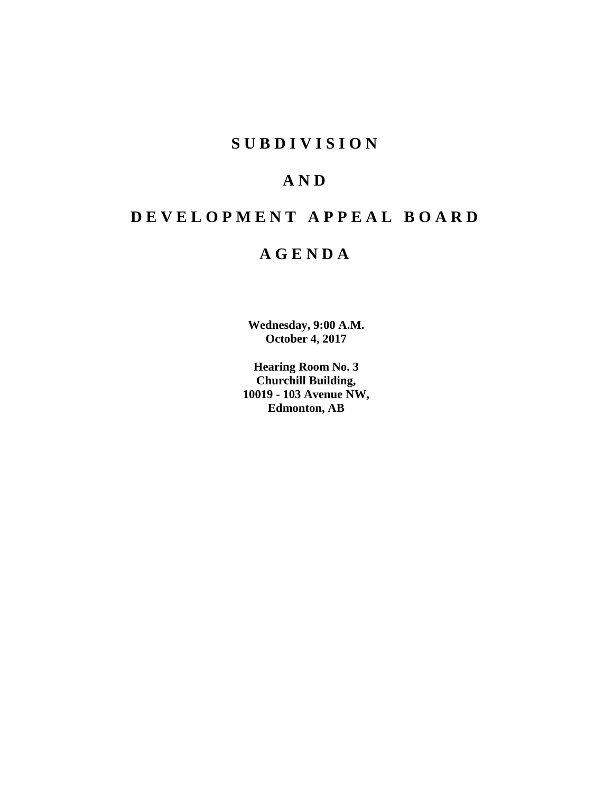## **SUBDIVISION**

## **AND**

# **DEVELOPMENT APPEAL BOARD**

## **AGENDA**

**Wednesday, 9:00 A.M. October 4, 2017**

**Hearing Room No. 3 Churchill Building, 10019 - 103 Avenue NW, Edmonton, AB**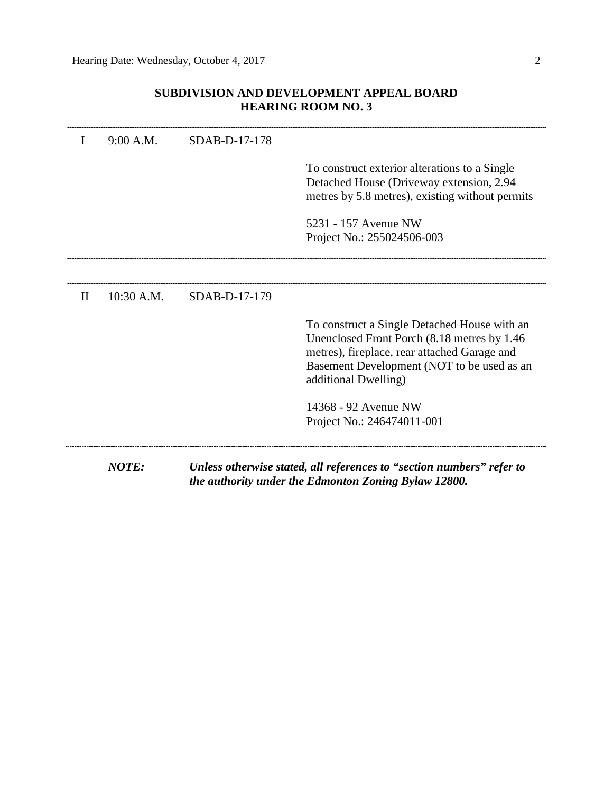## **SUBDIVISION AND DEVELOPMENT APPEAL BOARD HEARING ROOM NO. 3**

|              | <b>NOTE:</b> |               | Unless otherwise stated, all references to "section numbers" refer to<br>the authority under the Edmonton Zoning Bylaw 12800.                                                                                     |
|--------------|--------------|---------------|-------------------------------------------------------------------------------------------------------------------------------------------------------------------------------------------------------------------|
|              |              |               | 14368 - 92 Avenue NW<br>Project No.: 246474011-001                                                                                                                                                                |
|              |              |               | To construct a Single Detached House with an<br>Unenclosed Front Porch (8.18 metres by 1.46<br>metres), fireplace, rear attached Garage and<br>Basement Development (NOT to be used as an<br>additional Dwelling) |
| $\mathbf{I}$ | 10:30 A.M.   | SDAB-D-17-179 |                                                                                                                                                                                                                   |
|              |              |               | 5231 - 157 Avenue NW<br>Project No.: 255024506-003                                                                                                                                                                |
|              |              |               | To construct exterior alterations to a Single<br>Detached House (Driveway extension, 2.94)<br>metres by 5.8 metres), existing without permits                                                                     |
| I            | 9:00 A.M.    | SDAB-D-17-178 |                                                                                                                                                                                                                   |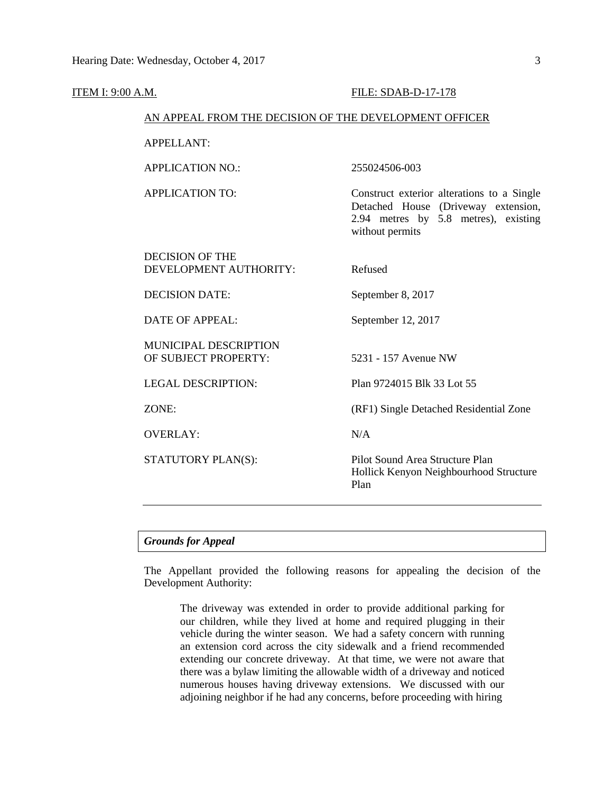| <b>ITEM I: 9:00 A.M.</b> |                                                        | FILE: SDAB-D-17-178                                                                                                                          |  |  |  |  |  |  |
|--------------------------|--------------------------------------------------------|----------------------------------------------------------------------------------------------------------------------------------------------|--|--|--|--|--|--|
|                          | AN APPEAL FROM THE DECISION OF THE DEVELOPMENT OFFICER |                                                                                                                                              |  |  |  |  |  |  |
|                          | <b>APPELLANT:</b>                                      |                                                                                                                                              |  |  |  |  |  |  |
|                          | <b>APPLICATION NO.:</b>                                | 255024506-003                                                                                                                                |  |  |  |  |  |  |
|                          | <b>APPLICATION TO:</b>                                 | Construct exterior alterations to a Single<br>Detached House (Driveway extension,<br>2.94 metres by 5.8 metres), existing<br>without permits |  |  |  |  |  |  |
|                          | <b>DECISION OF THE</b><br>DEVELOPMENT AUTHORITY:       | Refused                                                                                                                                      |  |  |  |  |  |  |
|                          | <b>DECISION DATE:</b>                                  | September 8, 2017                                                                                                                            |  |  |  |  |  |  |
|                          | <b>DATE OF APPEAL:</b>                                 | September 12, 2017                                                                                                                           |  |  |  |  |  |  |
|                          | MUNICIPAL DESCRIPTION<br>OF SUBJECT PROPERTY:          | 5231 - 157 Avenue NW                                                                                                                         |  |  |  |  |  |  |
|                          | <b>LEGAL DESCRIPTION:</b>                              | Plan 9724015 Blk 33 Lot 55                                                                                                                   |  |  |  |  |  |  |
|                          | ZONE:                                                  | (RF1) Single Detached Residential Zone                                                                                                       |  |  |  |  |  |  |
|                          | <b>OVERLAY:</b>                                        | N/A                                                                                                                                          |  |  |  |  |  |  |
|                          | STATUTORY PLAN(S):                                     | Pilot Sound Area Structure Plan<br>Hollick Kenyon Neighbourhood Structure<br>Plan                                                            |  |  |  |  |  |  |
|                          |                                                        |                                                                                                                                              |  |  |  |  |  |  |

## *Grounds for Appeal*

The Appellant provided the following reasons for appealing the decision of the Development Authority:

The driveway was extended in order to provide additional parking for our children, while they lived at home and required plugging in their vehicle during the winter season. We had a safety concern with running an extension cord across the city sidewalk and a friend recommended extending our concrete driveway. At that time, we were not aware that there was a bylaw limiting the allowable width of a driveway and noticed numerous houses having driveway extensions. We discussed with our adjoining neighbor if he had any concerns, before proceeding with hiring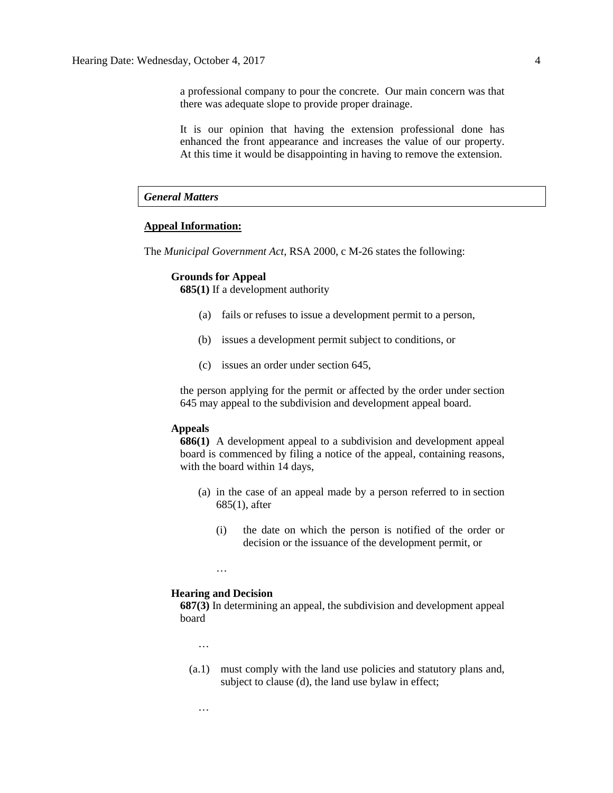a professional company to pour the concrete. Our main concern was that there was adequate slope to provide proper drainage.

It is our opinion that having the extension professional done has enhanced the front appearance and increases the value of our property. At this time it would be disappointing in having to remove the extension.

## *General Matters*

## **Appeal Information:**

The *Municipal Government Act*, RSA 2000, c M-26 states the following:

#### **Grounds for Appeal**

**685(1)** If a development authority

- (a) fails or refuses to issue a development permit to a person,
- (b) issues a development permit subject to conditions, or
- (c) issues an order under section 645,

the person applying for the permit or affected by the order under section 645 may appeal to the subdivision and development appeal board.

#### **Appeals**

**686(1)** A development appeal to a subdivision and development appeal board is commenced by filing a notice of the appeal, containing reasons, with the board within 14 days,

- (a) in the case of an appeal made by a person referred to in section 685(1), after
	- (i) the date on which the person is notified of the order or decision or the issuance of the development permit, or

#### **Hearing and Decision**

…

**687(3)** In determining an appeal, the subdivision and development appeal board

…

…

(a.1) must comply with the land use policies and statutory plans and, subject to clause (d), the land use bylaw in effect;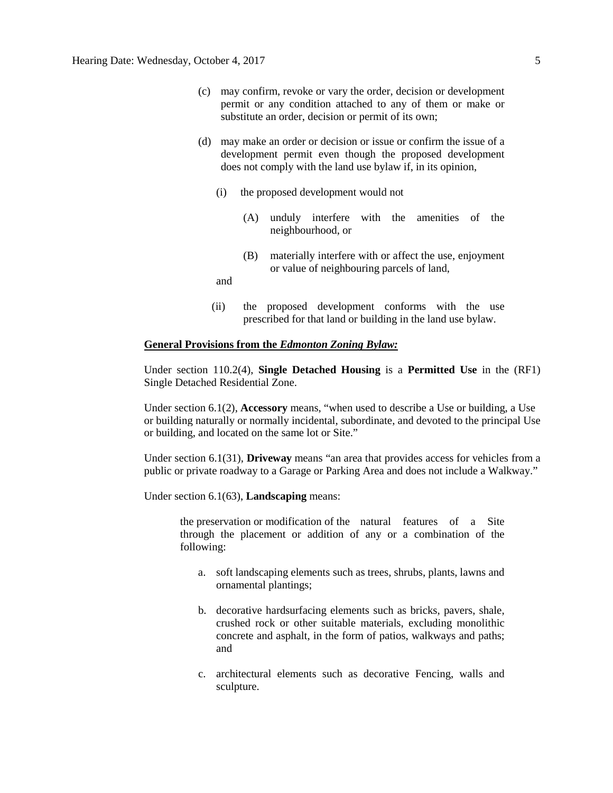- (c) may confirm, revoke or vary the order, decision or development permit or any condition attached to any of them or make or substitute an order, decision or permit of its own;
- (d) may make an order or decision or issue or confirm the issue of a development permit even though the proposed development does not comply with the land use bylaw if, in its opinion,
	- (i) the proposed development would not
		- (A) unduly interfere with the amenities of the neighbourhood, or
		- (B) materially interfere with or affect the use, enjoyment or value of neighbouring parcels of land,
	- and
	- (ii) the proposed development conforms with the use prescribed for that land or building in the land use bylaw.

#### **General Provisions from the** *Edmonton Zoning Bylaw:*

Under section 110.2(4), **Single Detached Housing** is a **Permitted Use** in the (RF1) Single Detached Residential Zone.

Under section 6.1(2), **Accessory** means, "when used to describe a Use or building, a Use or building naturally or normally incidental, subordinate, and devoted to the principal Use or building, and located on the same lot or Site."

Under section 6.1(31), **Driveway** means "an area that provides access for vehicles from a public or private roadway to a Garage or Parking Area and does not include a Walkway."

Under section 6.1(63), **Landscaping** means:

the preservation or modification of the natural features of a Site through the placement or addition of any or a combination of the following:

- a. soft landscaping elements such as trees, shrubs, plants, lawns and ornamental plantings;
- b. decorative hardsurfacing elements such as bricks, pavers, shale, crushed rock or other suitable materials, excluding monolithic concrete and asphalt, in the form of patios, walkways and paths; and
- c. architectural elements such as decorative Fencing, walls and sculpture.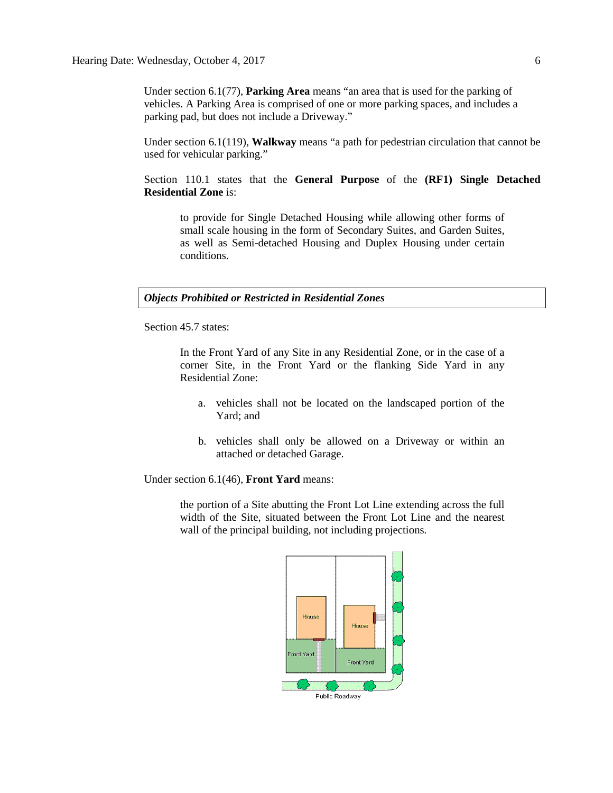Under section 6.1(77), **Parking Area** means "an area that is used for the parking of vehicles. A Parking Area is comprised of one or more parking spaces, and includes a parking pad, but does not include a Driveway."

Under section 6.1(119), **Walkway** means "a path for pedestrian circulation that cannot be used for vehicular parking."

Section 110.1 states that the **General Purpose** of the **(RF1) Single Detached Residential Zone** is:

to provide for Single Detached Housing while allowing other forms of small scale housing in the form of Secondary Suites, and Garden Suites, as well as Semi-detached Housing and Duplex Housing under certain conditions.

*Objects Prohibited or Restricted in Residential Zones*

Section 45.7 states:

In the Front Yard of any Site in any Residential Zone, or in the case of a corner Site, in the Front Yard or the flanking Side Yard in any Residential Zone:

- a. vehicles shall not be located on the landscaped portion of the Yard; and
- b. vehicles shall only be allowed on a Driveway or within an attached or detached Garage.

Under section 6.1(46), **Front Yard** means:

the portion of a Site abutting the Front Lot Line extending across the full width of the Site, situated between the Front Lot Line and the nearest wall of the principal building, not including projections.

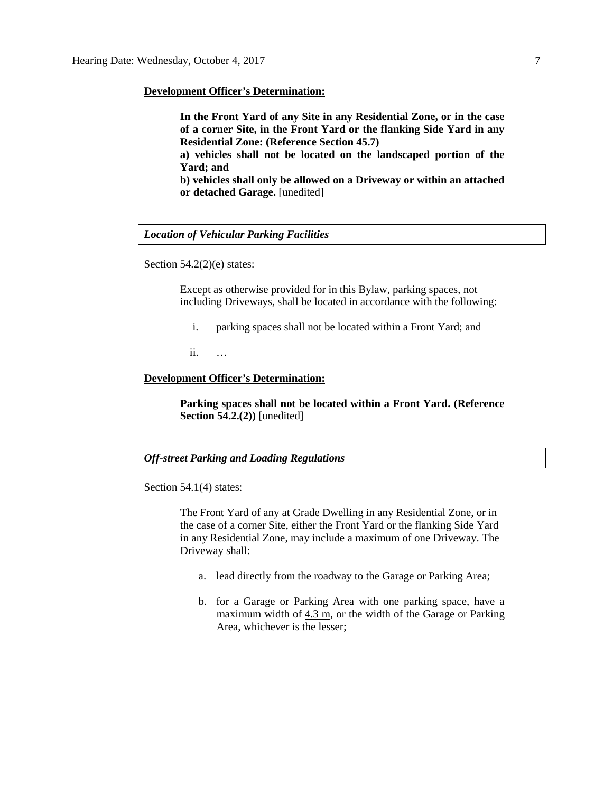#### **Development Officer's Determination:**

**In the Front Yard of any Site in any Residential Zone, or in the case of a corner Site, in the Front Yard or the flanking Side Yard in any Residential Zone: (Reference Section 45.7)**

**a) vehicles shall not be located on the landscaped portion of the Yard; and**

**b) vehicles shall only be allowed on a Driveway or within an attached or detached Garage.** [unedited]

## *Location of Vehicular Parking Facilities*

Section 54.2(2)(e) states:

Except as otherwise provided for in this Bylaw, parking spaces, not including Driveways, shall be located in accordance with the following:

- i. parking spaces shall not be located within a Front Yard; and
- ii. …

#### **Development Officer's Determination:**

**Parking spaces shall not be located within a Front Yard. (Reference Section 54.2.(2))** [unedited]

## *Off-street Parking and Loading Regulations*

Section 54.1(4) states:

The Front Yard of any at Grade Dwelling in any Residential Zone, or in the case of a corner Site, either the Front Yard or the flanking Side Yard in any Residential Zone, may include a maximum of one Driveway. The Driveway shall:

- a. lead directly from the roadway to the Garage or Parking Area;
- b. for a Garage or Parking Area with one parking space, have a maximum width of [4.3 m,](javascript:void(0);) or the width of the Garage or Parking Area, whichever is the lesser;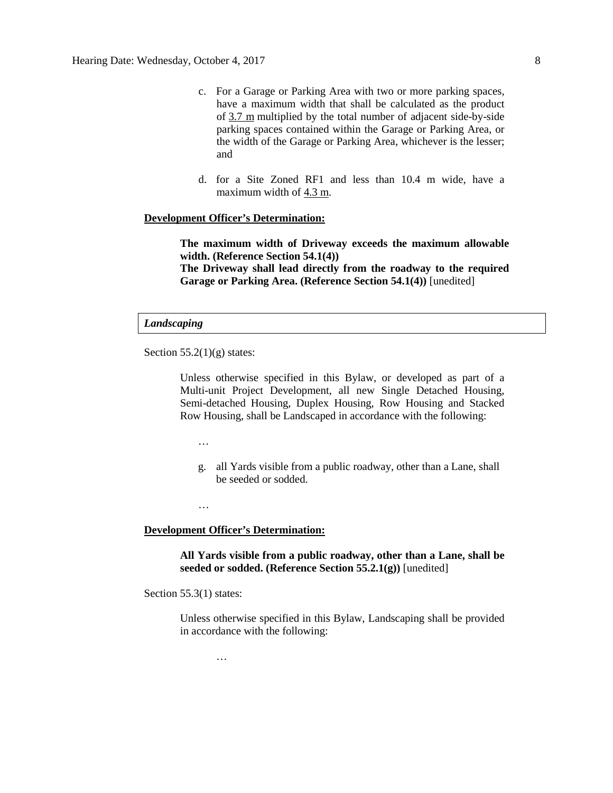- c. For a Garage or Parking Area with two or more parking spaces, have a maximum width that shall be calculated as the product of [3.7 m](javascript:void(0);) multiplied by the total number of adjacent side-by-side parking spaces contained within the Garage or Parking Area, or the width of the Garage or Parking Area, whichever is the lesser; and
- d. for a Site Zoned RF1 and less than 10.4 m wide, have a maximum width of  $4.3$  m.

#### **Development Officer's Determination:**

**The maximum width of Driveway exceeds the maximum allowable width. (Reference Section 54.1(4)) The Driveway shall lead directly from the roadway to the required Garage or Parking Area. (Reference Section 54.1(4))** [unedited]

#### *Landscaping*

Section  $55.2(1)(g)$  states:

Unless otherwise specified in this Bylaw, or developed as part of a Multi-unit Project Development, all new Single Detached Housing, Semi-detached Housing, Duplex Housing, Row Housing and Stacked Row Housing, shall be Landscaped in accordance with the following:

…

g. all Yards visible from a public roadway, other than a Lane, shall be seeded or sodded.

…

#### **Development Officer's Determination:**

…

**All Yards visible from a public roadway, other than a Lane, shall be seeded or sodded. (Reference Section 55.2.1(g))** [unedited]

Section 55.3(1) states:

Unless otherwise specified in this Bylaw, Landscaping shall be provided in accordance with the following: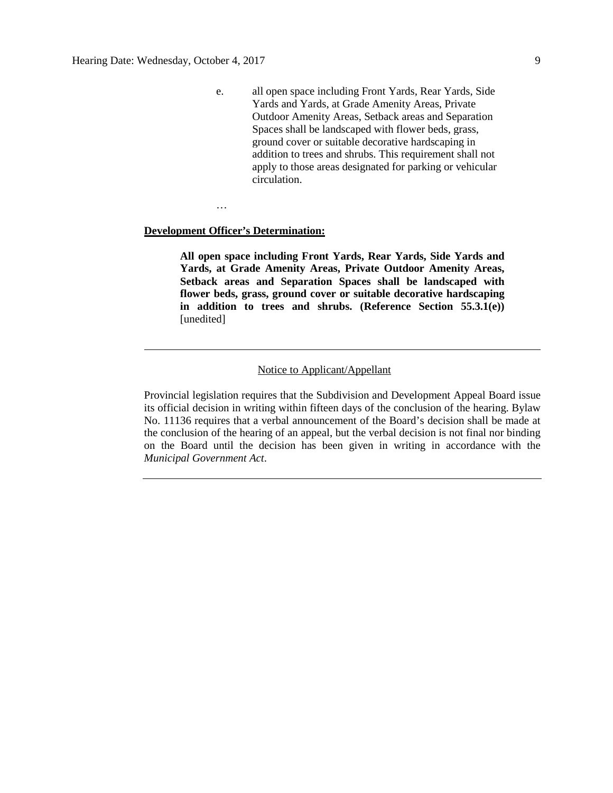e. all open space including Front Yards, Rear Yards, Side Yards and Yards, at Grade Amenity Areas, Private Outdoor Amenity Areas, Setback areas and Separation Spaces shall be landscaped with flower beds, grass, ground cover or suitable decorative hardscaping in addition to trees and shrubs. This requirement shall not apply to those areas designated for parking or vehicular circulation.

…

## **Development Officer's Determination:**

**All open space including Front Yards, Rear Yards, Side Yards and Yards, at Grade Amenity Areas, Private Outdoor Amenity Areas, Setback areas and Separation Spaces shall be landscaped with flower beds, grass, ground cover or suitable decorative hardscaping in addition to trees and shrubs. (Reference Section 55.3.1(e))**  [unedited]

## Notice to Applicant/Appellant

Provincial legislation requires that the Subdivision and Development Appeal Board issue its official decision in writing within fifteen days of the conclusion of the hearing. Bylaw No. 11136 requires that a verbal announcement of the Board's decision shall be made at the conclusion of the hearing of an appeal, but the verbal decision is not final nor binding on the Board until the decision has been given in writing in accordance with the *Municipal Government Act*.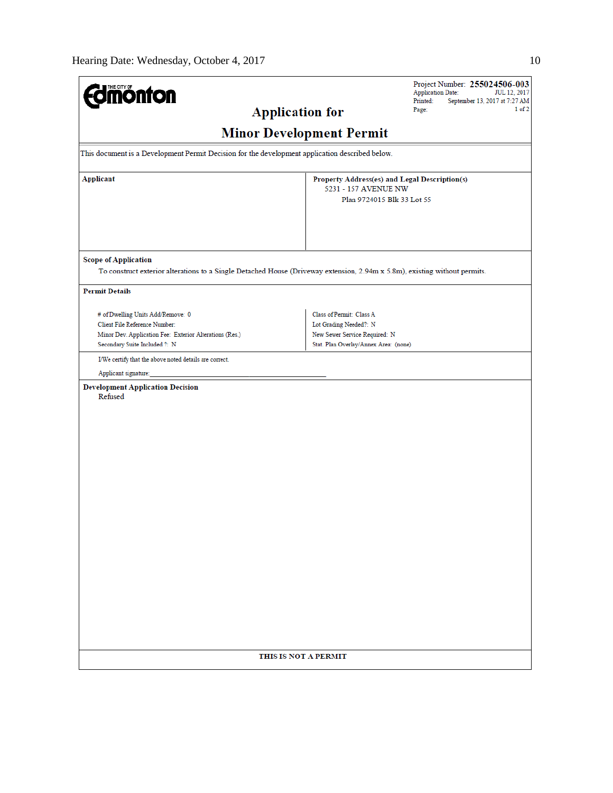| <b>Jmönton</b>                                                                                                                                                 | Project Number: 255024506-003<br><b>Application Date:</b><br>JUL 12, 2017<br>Printed:<br>September 13, 2017 at 7:27 AM       |  |  |  |  |  |  |
|----------------------------------------------------------------------------------------------------------------------------------------------------------------|------------------------------------------------------------------------------------------------------------------------------|--|--|--|--|--|--|
| <b>Application for</b>                                                                                                                                         | $1$ of $2$<br>Page:                                                                                                          |  |  |  |  |  |  |
| <b>Minor Development Permit</b>                                                                                                                                |                                                                                                                              |  |  |  |  |  |  |
| This document is a Development Permit Decision for the development application described below.                                                                |                                                                                                                              |  |  |  |  |  |  |
| Applicant                                                                                                                                                      | Property Address(es) and Legal Description(s)<br>5231 - 157 AVENUE NW<br>Plan 9724015 Blk 33 Lot 55                          |  |  |  |  |  |  |
| <b>Scope of Application</b><br>To construct exterior alterations to a Single Detached House (Driveway extension, 2.94m x 5.8m), existing without permits.      |                                                                                                                              |  |  |  |  |  |  |
| <b>Permit Details</b>                                                                                                                                          |                                                                                                                              |  |  |  |  |  |  |
| # of Dwelling Units Add/Remove: 0<br>Client File Reference Number:<br>Minor Dev. Application Fee: Exterior Alterations (Res.)<br>Secondary Suite Included ?: N | Class of Permit: Class A<br>Lot Grading Needed?: N<br>New Sewer Service Required: N<br>Stat. Plan Overlay/Annex Area: (none) |  |  |  |  |  |  |
| I/We certify that the above noted details are correct.                                                                                                         |                                                                                                                              |  |  |  |  |  |  |
| Applicant signature:                                                                                                                                           |                                                                                                                              |  |  |  |  |  |  |
| <b>Development Application Decision</b><br>Refused                                                                                                             |                                                                                                                              |  |  |  |  |  |  |
| THIS IS NOT A PERMIT                                                                                                                                           |                                                                                                                              |  |  |  |  |  |  |
|                                                                                                                                                                |                                                                                                                              |  |  |  |  |  |  |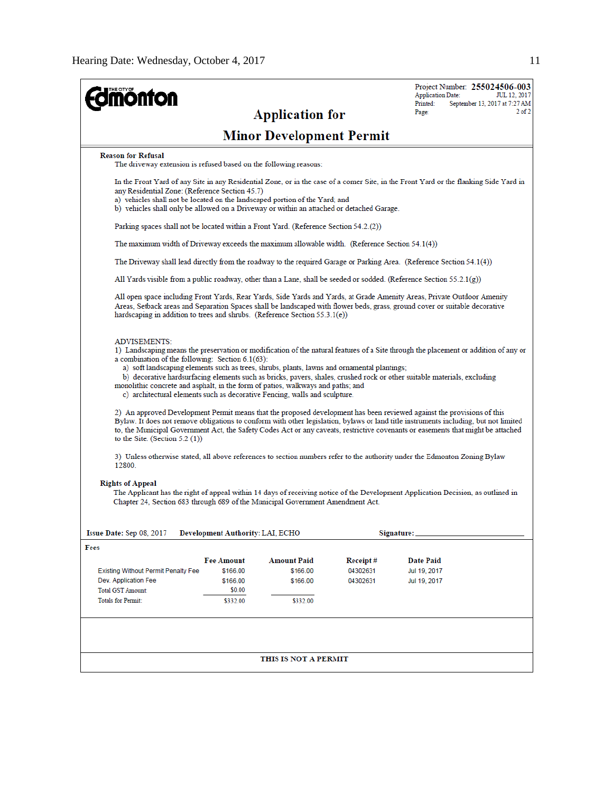| <b>ionton</b>                                                                                                                                                                                                                                                                                                                           |                                                                                       | <b>Application for</b>          |          | Project Number: 255024506-003<br><b>Application Date:</b><br>JUL 12, 2017<br>Printed:<br>September 13, 2017 at 7:27 AM<br>$2$ of $2$<br>Page:                                                                                                                                                                                                                                                      |  |  |  |  |  |
|-----------------------------------------------------------------------------------------------------------------------------------------------------------------------------------------------------------------------------------------------------------------------------------------------------------------------------------------|---------------------------------------------------------------------------------------|---------------------------------|----------|----------------------------------------------------------------------------------------------------------------------------------------------------------------------------------------------------------------------------------------------------------------------------------------------------------------------------------------------------------------------------------------------------|--|--|--|--|--|
|                                                                                                                                                                                                                                                                                                                                         |                                                                                       | <b>Minor Development Permit</b> |          |                                                                                                                                                                                                                                                                                                                                                                                                    |  |  |  |  |  |
| <b>Reason for Refusal</b><br>The driveway extension is refused based on the following reasons:                                                                                                                                                                                                                                          |                                                                                       |                                 |          |                                                                                                                                                                                                                                                                                                                                                                                                    |  |  |  |  |  |
| any Residential Zone: (Reference Section 45.7)<br>a) vehicles shall not be located on the landscaped portion of the Yard; and<br>b) vehicles shall only be allowed on a Driveway or within an attached or detached Garage.                                                                                                              |                                                                                       |                                 |          | In the Front Yard of any Site in any Residential Zone, or in the case of a corner Site, in the Front Yard or the flanking Side Yard in                                                                                                                                                                                                                                                             |  |  |  |  |  |
|                                                                                                                                                                                                                                                                                                                                         | Parking spaces shall not be located within a Front Yard. (Reference Section 54.2.(2)) |                                 |          |                                                                                                                                                                                                                                                                                                                                                                                                    |  |  |  |  |  |
| The maximum width of Driveway exceeds the maximum allowable width. (Reference Section $54.1(4)$ )                                                                                                                                                                                                                                       |                                                                                       |                                 |          |                                                                                                                                                                                                                                                                                                                                                                                                    |  |  |  |  |  |
|                                                                                                                                                                                                                                                                                                                                         |                                                                                       |                                 |          | The Driveway shall lead directly from the roadway to the required Garage or Parking Area. (Reference Section 54.1(4))                                                                                                                                                                                                                                                                              |  |  |  |  |  |
|                                                                                                                                                                                                                                                                                                                                         |                                                                                       |                                 |          | All Yards visible from a public roadway, other than a Lane, shall be seeded or sodded. (Reference Section 55.2.1(g))                                                                                                                                                                                                                                                                               |  |  |  |  |  |
| hardscaping in addition to trees and shrubs. (Reference Section $55.3.1(e)$ )                                                                                                                                                                                                                                                           |                                                                                       |                                 |          | All open space including Front Yards, Rear Yards, Side Yards and Yards, at Grade Amenity Areas, Private Outdoor Amenity<br>Areas, Setback areas and Separation Spaces shall be landscaped with flower beds, grass, ground cover or suitable decorative                                                                                                                                             |  |  |  |  |  |
| <b>ADVISEMENTS:</b><br>a combination of the following: Section 6.1(63):<br>a) soft landscaping elements such as trees, shrubs, plants, lawns and ornamental plantings;<br>monolithic concrete and asphalt, in the form of patios, walkways and paths; and<br>c) architectural elements such as decorative Fencing, walls and sculpture. |                                                                                       |                                 |          | 1) Landscaping means the preservation or modification of the natural features of a Site through the placement or addition of any or<br>b) decorative hardsurfacing elements such as bricks, pavers, shales, crushed rock or other suitable materials, excluding                                                                                                                                    |  |  |  |  |  |
| to the Site. (Section $5.2(1)$ )                                                                                                                                                                                                                                                                                                        |                                                                                       |                                 |          | 2) An approved Development Permit means that the proposed development has been reviewed against the provisions of this<br>Bylaw. It does not remove obligations to conform with other legislation, bylaws or land title instruments including, but not limited<br>to, the Municipal Government Act, the Safety Codes Act or any caveats, restrictive covenants or easements that might be attached |  |  |  |  |  |
| 12800.                                                                                                                                                                                                                                                                                                                                  |                                                                                       |                                 |          | 3) Unless otherwise stated, all above references to section numbers refer to the authority under the Edmonton Zoning Bylaw                                                                                                                                                                                                                                                                         |  |  |  |  |  |
| <b>Rights of Appeal</b><br>Chapter 24, Section 683 through 689 of the Municipal Government Amendment Act.                                                                                                                                                                                                                               |                                                                                       |                                 |          | The Applicant has the right of appeal within 14 days of receiving notice of the Development Application Decision, as outlined in                                                                                                                                                                                                                                                                   |  |  |  |  |  |
| Issue Date: Sep 08, 2017                                                                                                                                                                                                                                                                                                                | Development Authority: LAI, ECHO                                                      |                                 |          | Signature:                                                                                                                                                                                                                                                                                                                                                                                         |  |  |  |  |  |
| Fees                                                                                                                                                                                                                                                                                                                                    |                                                                                       |                                 |          |                                                                                                                                                                                                                                                                                                                                                                                                    |  |  |  |  |  |
|                                                                                                                                                                                                                                                                                                                                         | <b>Fee Amount</b>                                                                     | <b>Amount Paid</b>              | Receipt# | Date Paid                                                                                                                                                                                                                                                                                                                                                                                          |  |  |  |  |  |
| <b>Existing Without Permit Penalty Fee</b>                                                                                                                                                                                                                                                                                              | \$166.00                                                                              | \$166.00                        | 04302631 | Jul 19, 2017                                                                                                                                                                                                                                                                                                                                                                                       |  |  |  |  |  |
| Dev. Application Fee                                                                                                                                                                                                                                                                                                                    | \$166.00                                                                              | \$166.00                        | 04302631 | Jul 19, 2017                                                                                                                                                                                                                                                                                                                                                                                       |  |  |  |  |  |
| <b>Total GST Amount:</b><br><b>Totals for Permit:</b>                                                                                                                                                                                                                                                                                   | \$0.00<br>\$332.00                                                                    | \$332.00                        |          |                                                                                                                                                                                                                                                                                                                                                                                                    |  |  |  |  |  |
|                                                                                                                                                                                                                                                                                                                                         |                                                                                       |                                 |          |                                                                                                                                                                                                                                                                                                                                                                                                    |  |  |  |  |  |
|                                                                                                                                                                                                                                                                                                                                         |                                                                                       | THIS IS NOT A PERMIT            |          |                                                                                                                                                                                                                                                                                                                                                                                                    |  |  |  |  |  |
|                                                                                                                                                                                                                                                                                                                                         |                                                                                       |                                 |          |                                                                                                                                                                                                                                                                                                                                                                                                    |  |  |  |  |  |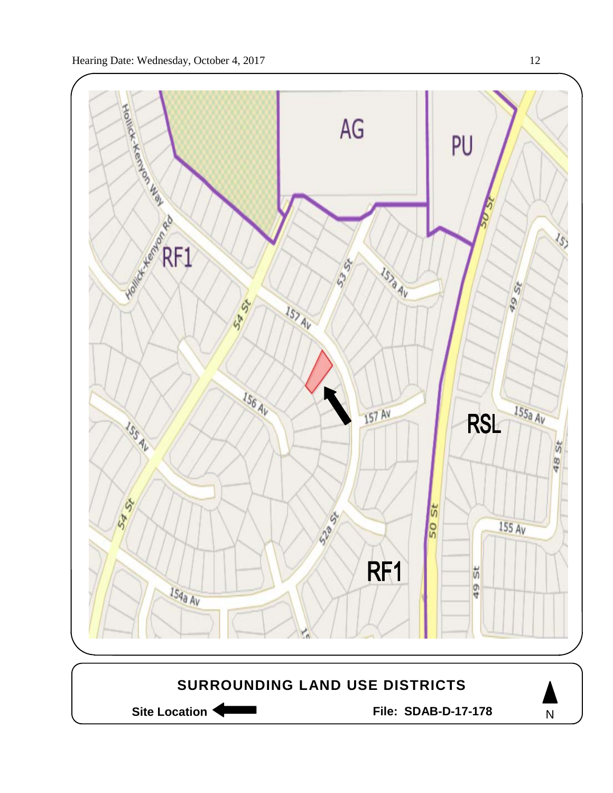

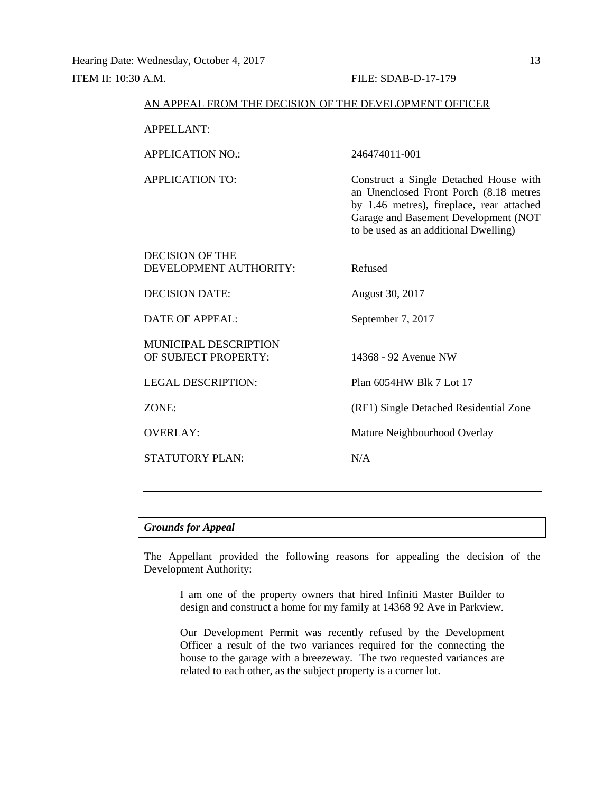#### ITEM II: 10:30 A.M. FILE: SDAB-D-17-179

| AN APPEAL FROM THE DECISION OF THE DEVELOPMENT OFFICER |                                                                                                                                                                                                                |  |  |
|--------------------------------------------------------|----------------------------------------------------------------------------------------------------------------------------------------------------------------------------------------------------------------|--|--|
| <b>APPELLANT:</b>                                      |                                                                                                                                                                                                                |  |  |
| <b>APPLICATION NO.:</b>                                | 246474011-001                                                                                                                                                                                                  |  |  |
| <b>APPLICATION TO:</b>                                 | Construct a Single Detached House with<br>an Unenclosed Front Porch (8.18 metres<br>by 1.46 metres), fireplace, rear attached<br>Garage and Basement Development (NOT<br>to be used as an additional Dwelling) |  |  |
| <b>DECISION OF THE</b><br>DEVELOPMENT AUTHORITY:       | Refused                                                                                                                                                                                                        |  |  |
| <b>DECISION DATE:</b>                                  | August 30, 2017                                                                                                                                                                                                |  |  |
| DATE OF APPEAL:                                        | September 7, 2017                                                                                                                                                                                              |  |  |
| <b>MUNICIPAL DESCRIPTION</b><br>OF SUBJECT PROPERTY:   | 14368 - 92 Avenue NW                                                                                                                                                                                           |  |  |
| <b>LEGAL DESCRIPTION:</b>                              | Plan 6054HW Blk 7 Lot 17                                                                                                                                                                                       |  |  |
| ZONE:                                                  | (RF1) Single Detached Residential Zone                                                                                                                                                                         |  |  |
| <b>OVERLAY:</b>                                        | Mature Neighbourhood Overlay                                                                                                                                                                                   |  |  |
| <b>STATUTORY PLAN:</b>                                 | N/A                                                                                                                                                                                                            |  |  |

## *Grounds for Appeal*

The Appellant provided the following reasons for appealing the decision of the Development Authority:

I am one of the property owners that hired Infiniti Master Builder to design and construct a home for my family at 14368 92 Ave in Parkview.

Our Development Permit was recently refused by the Development Officer a result of the two variances required for the connecting the house to the garage with a breezeway. The two requested variances are related to each other, as the subject property is a corner lot.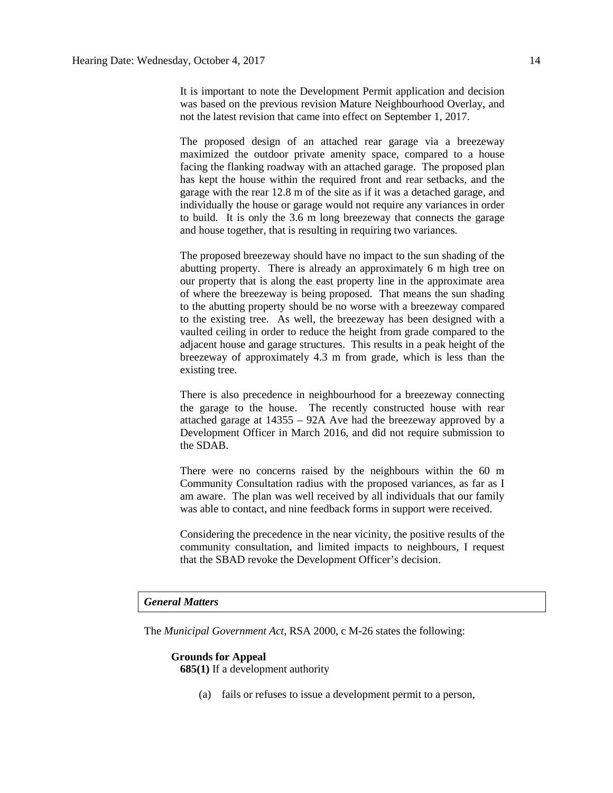It is important to note the Development Permit application and decision was based on the previous revision Mature Neighbourhood Overlay, and not the latest revision that came into effect on September 1, 2017.

The proposed design of an attached rear garage via a breezeway maximized the outdoor private amenity space, compared to a house facing the flanking roadway with an attached garage. The proposed plan has kept the house within the required front and rear setbacks, and the garage with the rear 12.8 m of the site as if it was a detached garage, and individually the house or garage would not require any variances in order to build. It is only the 3.6 m long breezeway that connects the garage and house together, that is resulting in requiring two variances.

The proposed breezeway should have no impact to the sun shading of the abutting property. There is already an approximately 6 m high tree on our property that is along the east property line in the approximate area of where the breezeway is being proposed. That means the sun shading to the abutting property should be no worse with a breezeway compared to the existing tree. As well, the breezeway has been designed with a vaulted ceiling in order to reduce the height from grade compared to the adjacent house and garage structures. This results in a peak height of the breezeway of approximately 4.3 m from grade, which is less than the existing tree.

There is also precedence in neighbourhood for a breezeway connecting the garage to the house. The recently constructed house with rear attached garage at 14355 – 92A Ave had the breezeway approved by a Development Officer in March 2016, and did not require submission to the SDAB.

There were no concerns raised by the neighbours within the 60 m Community Consultation radius with the proposed variances, as far as I am aware. The plan was well received by all individuals that our family was able to contact, and nine feedback forms in support were received.

Considering the precedence in the near vicinity, the positive results of the community consultation, and limited impacts to neighbours, I request that the SBAD revoke the Development Officer's decision.

#### *General Matters*

The *Municipal Government Act*, RSA 2000, c M-26 states the following:

## **Grounds for Appeal 685(1)** If a development authority

(a) fails or refuses to issue a development permit to a person,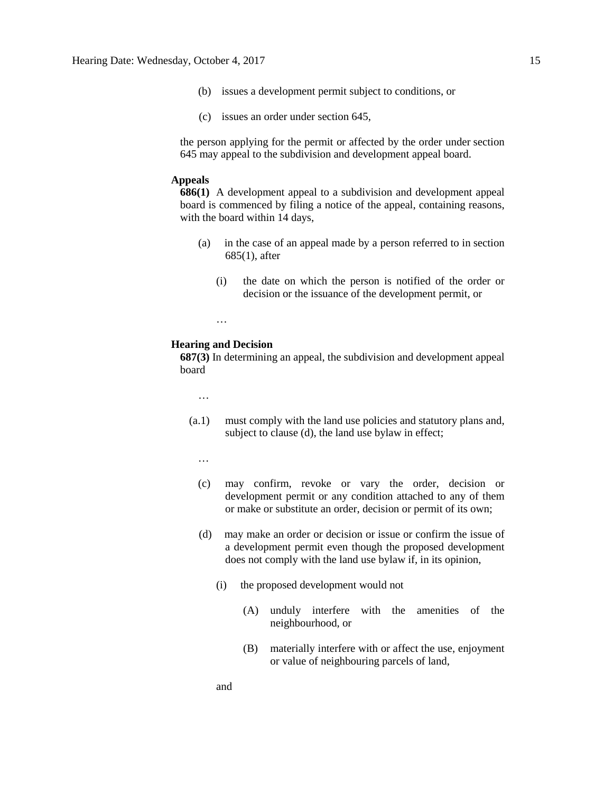- (b) issues a development permit subject to conditions, or
- (c) issues an order under section 645,

the person applying for the permit or affected by the order under section 645 may appeal to the subdivision and development appeal board.

## **Appeals**

**686(1)** A development appeal to a subdivision and development appeal board is commenced by filing a notice of the appeal, containing reasons, with the board within 14 days,

- (a) in the case of an appeal made by a person referred to in section 685(1), after
	- (i) the date on which the person is notified of the order or decision or the issuance of the development permit, or

…

#### **Hearing and Decision**

**687(3)** In determining an appeal, the subdivision and development appeal board

…

- (a.1) must comply with the land use policies and statutory plans and, subject to clause (d), the land use bylaw in effect;
	- …
	- (c) may confirm, revoke or vary the order, decision or development permit or any condition attached to any of them or make or substitute an order, decision or permit of its own;
	- (d) may make an order or decision or issue or confirm the issue of a development permit even though the proposed development does not comply with the land use bylaw if, in its opinion,
		- (i) the proposed development would not
			- (A) unduly interfere with the amenities of the neighbourhood, or
			- (B) materially interfere with or affect the use, enjoyment or value of neighbouring parcels of land,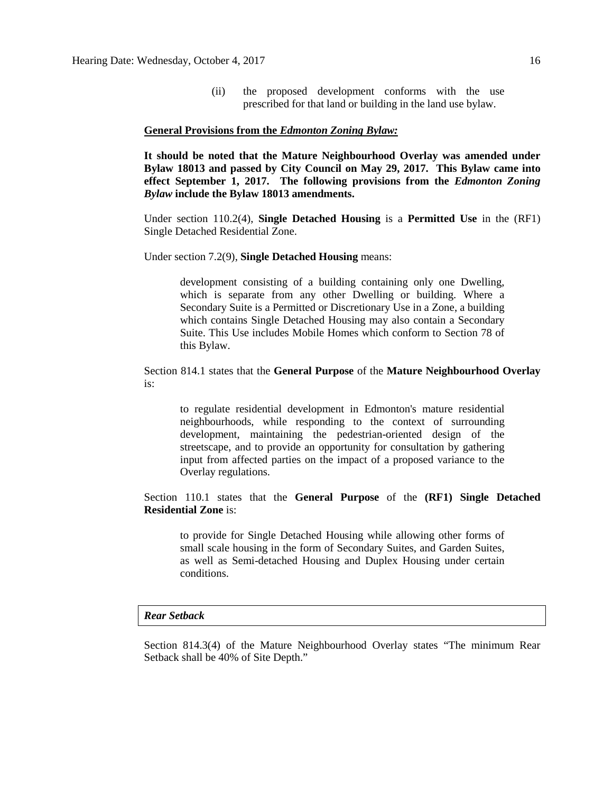(ii) the proposed development conforms with the use prescribed for that land or building in the land use bylaw.

#### **General Provisions from the** *Edmonton Zoning Bylaw:*

**It should be noted that the Mature Neighbourhood Overlay was amended under Bylaw 18013 and passed by City Council on May 29, 2017. This Bylaw came into effect September 1, 2017. The following provisions from the** *Edmonton Zoning Bylaw* **include the Bylaw 18013 amendments.**

Under section 110.2(4), **Single Detached Housing** is a **Permitted Use** in the (RF1) Single Detached Residential Zone.

Under section 7.2(9), **Single Detached Housing** means:

development consisting of a building containing only one Dwelling, which is separate from any other Dwelling or building. Where a Secondary Suite is a Permitted or Discretionary Use in a Zone, a building which contains Single Detached Housing may also contain a Secondary Suite. This Use includes Mobile Homes which conform to Section 78 of this Bylaw.

Section 814.1 states that the **General Purpose** of the **Mature Neighbourhood Overlay** is:

to regulate residential development in Edmonton's mature residential neighbourhoods, while responding to the context of surrounding development, maintaining the pedestrian-oriented design of the streetscape, and to provide an opportunity for consultation by gathering input from affected parties on the impact of a proposed variance to the Overlay regulations.

Section 110.1 states that the **General Purpose** of the **(RF1) Single Detached Residential Zone** is:

to provide for Single Detached Housing while allowing other forms of small scale housing in the form of Secondary Suites, and Garden Suites, as well as Semi-detached Housing and Duplex Housing under certain conditions.

#### *Rear Setback*

Section 814.3(4) of the Mature Neighbourhood Overlay states "The minimum Rear Setback shall be 40% of Site Depth."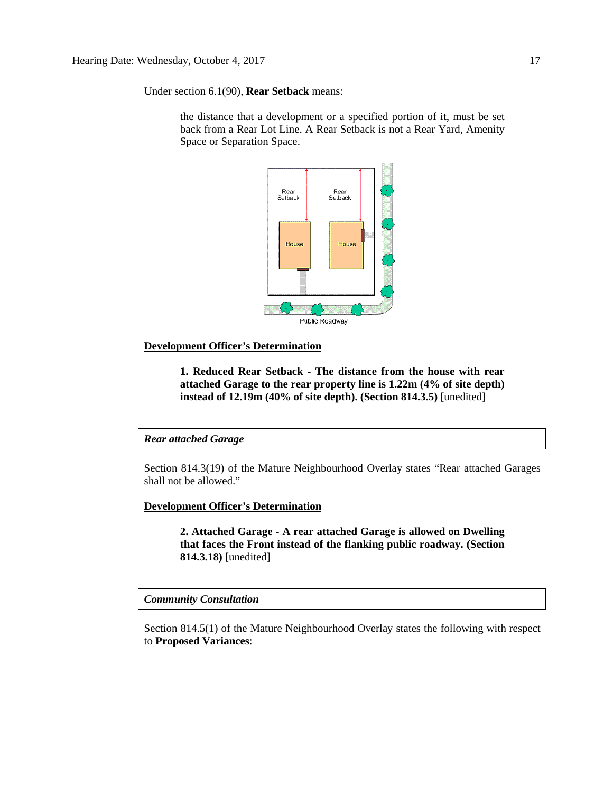Under section 6.1(90), **Rear Setback** means:

the distance that a development or a specified portion of it, must be set back from a Rear Lot Line. A Rear Setback is not a Rear Yard, Amenity Space or Separation Space.



## **Development Officer's Determination**

**1. Reduced Rear Setback - The distance from the house with rear attached Garage to the rear property line is 1.22m (4% of site depth) instead of 12.19m (40% of site depth). (Section 814.3.5)** [unedited]

## *Rear attached Garage*

Section 814.3(19) of the Mature Neighbourhood Overlay states "Rear attached Garages shall not be allowed."

## **Development Officer's Determination**

**2. Attached Garage - A rear attached Garage is allowed on Dwelling that faces the Front instead of the flanking public roadway. (Section 814.3.18)** [unedited]

*Community Consultation*

Section 814.5(1) of the Mature Neighbourhood Overlay states the following with respect to **Proposed Variances**: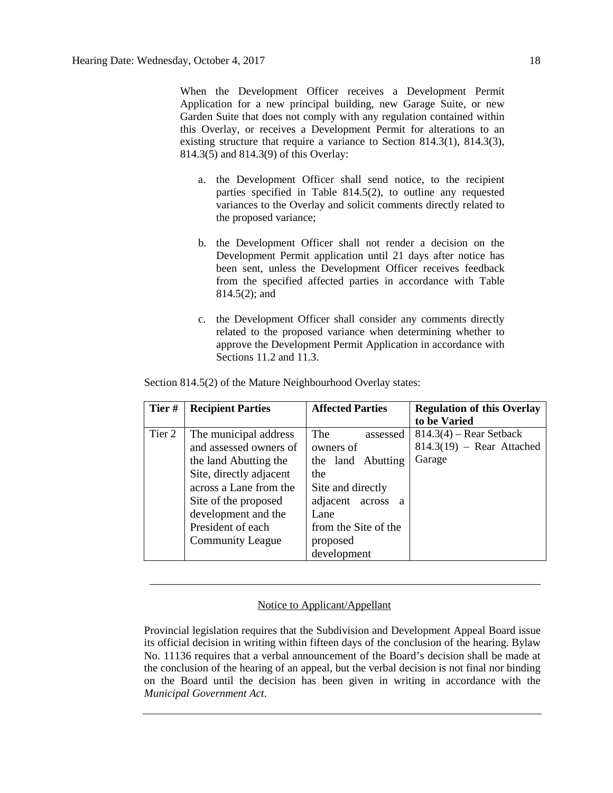When the Development Officer receives a Development Permit Application for a new principal building, new Garage Suite, or new Garden Suite that does not comply with any regulation contained within this Overlay, or receives a Development Permit for alterations to an existing structure that require a variance to Section 814.3(1), 814.3(3), 814.3(5) and 814.3(9) of this Overlay:

- a. the Development Officer shall send notice, to the recipient parties specified in Table 814.5(2), to outline any requested variances to the Overlay and solicit comments directly related to the proposed variance;
- b. the Development Officer shall not render a decision on the Development Permit application until 21 days after notice has been sent, unless the Development Officer receives feedback from the specified affected parties in accordance with Table 814.5(2); and
- c. the Development Officer shall consider any comments directly related to the proposed variance when determining whether to approve the Development Permit Application in accordance with Sections 11.2 and 11.3.

| Tier#  | <b>Recipient Parties</b>                                                                                                                                                                                                     | <b>Affected Parties</b>                                                                                                                                                     | <b>Regulation of this Overlay</b><br>to be Varied                  |  |
|--------|------------------------------------------------------------------------------------------------------------------------------------------------------------------------------------------------------------------------------|-----------------------------------------------------------------------------------------------------------------------------------------------------------------------------|--------------------------------------------------------------------|--|
| Tier 2 | The municipal address<br>and assessed owners of<br>the land Abutting the<br>Site, directly adjacent<br>across a Lane from the<br>Site of the proposed<br>development and the<br>President of each<br><b>Community League</b> | The<br>assessed<br>owners of<br>the land Abutting<br>the<br>Site and directly<br>adjacent across<br><sup>2</sup><br>Lane<br>from the Site of the<br>proposed<br>development | $814.3(4)$ – Rear Setback<br>$814.3(19)$ – Rear Attached<br>Garage |  |

Section 814.5(2) of the Mature Neighbourhood Overlay states:

## Notice to Applicant/Appellant

Provincial legislation requires that the Subdivision and Development Appeal Board issue its official decision in writing within fifteen days of the conclusion of the hearing. Bylaw No. 11136 requires that a verbal announcement of the Board's decision shall be made at the conclusion of the hearing of an appeal, but the verbal decision is not final nor binding on the Board until the decision has been given in writing in accordance with the *Municipal Government Act*.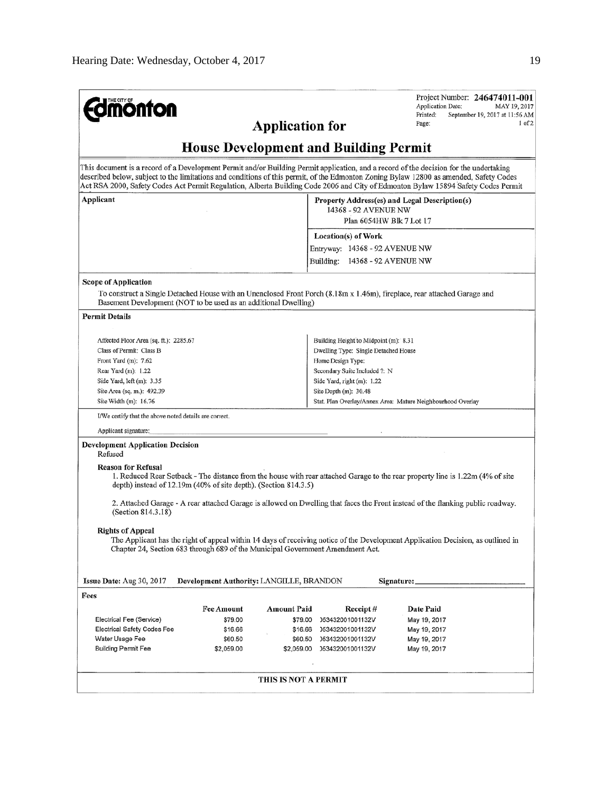| <b>monton</b>                                                                                                                                         |                   | <b>Application for</b>                          |                                                                                                   | Project Number: 246474011-001<br><b>Application Date:</b><br>MAY 19, 2017<br>Printed:<br>September 19, 2017 at 11:56 AM<br>$1$ of $2$<br>Page:                                                                                                                                                                                                                                                                        |  |  |  |
|-------------------------------------------------------------------------------------------------------------------------------------------------------|-------------------|-------------------------------------------------|---------------------------------------------------------------------------------------------------|-----------------------------------------------------------------------------------------------------------------------------------------------------------------------------------------------------------------------------------------------------------------------------------------------------------------------------------------------------------------------------------------------------------------------|--|--|--|
| <b>House Development and Building Permit</b>                                                                                                          |                   |                                                 |                                                                                                   |                                                                                                                                                                                                                                                                                                                                                                                                                       |  |  |  |
|                                                                                                                                                       |                   |                                                 |                                                                                                   | This document is a record of a Development Permit and/or Building Permit application, and a record of the decision for the undertaking<br>described below, subject to the limitations and conditions of this permit, of the Edmonton Zoning Bylaw 12800 as amended, Safety Codes<br>Act RSA 2000, Safety Codes Act Permit Regulation, Alberta Building Code 2006 and City of Edmonton Bylaw 15894 Safety Codes Permit |  |  |  |
| Applicant                                                                                                                                             |                   |                                                 | Property Address(es) and Legal Description(s)<br>14368 - 92 AVENUE NW<br>Plan 6054HW Blk 7 Lot 17 |                                                                                                                                                                                                                                                                                                                                                                                                                       |  |  |  |
|                                                                                                                                                       |                   |                                                 | Location(s) of Work                                                                               |                                                                                                                                                                                                                                                                                                                                                                                                                       |  |  |  |
|                                                                                                                                                       |                   |                                                 | Entryway: 14368 - 92 AVENUE NW                                                                    |                                                                                                                                                                                                                                                                                                                                                                                                                       |  |  |  |
|                                                                                                                                                       |                   |                                                 | Building: 14368 - 92 AVENUE NW                                                                    |                                                                                                                                                                                                                                                                                                                                                                                                                       |  |  |  |
| Scope of Application                                                                                                                                  |                   |                                                 |                                                                                                   |                                                                                                                                                                                                                                                                                                                                                                                                                       |  |  |  |
| Basement Development (NOT to be used as an additional Dwelling)                                                                                       |                   |                                                 |                                                                                                   | To construct a Single Detached House with an Unenclosed Front Porch (8.18m x 1.46m), fireplace, rear attached Garage and                                                                                                                                                                                                                                                                                              |  |  |  |
| <b>Permit Details</b>                                                                                                                                 |                   |                                                 |                                                                                                   |                                                                                                                                                                                                                                                                                                                                                                                                                       |  |  |  |
| Affected Floor Area (sq. ft.): 2285.67                                                                                                                |                   |                                                 | Building Height to Midpoint (m): 8.31                                                             |                                                                                                                                                                                                                                                                                                                                                                                                                       |  |  |  |
| Class of Permit: Class B                                                                                                                              |                   |                                                 | Dwelling Type: Single Detached House                                                              |                                                                                                                                                                                                                                                                                                                                                                                                                       |  |  |  |
| Front Yard $(m)$ : 7.62                                                                                                                               |                   |                                                 | Home Design Type:                                                                                 |                                                                                                                                                                                                                                                                                                                                                                                                                       |  |  |  |
| Rear Yard (m): 1.22                                                                                                                                   |                   |                                                 | Secondary Suite Included ?: N                                                                     |                                                                                                                                                                                                                                                                                                                                                                                                                       |  |  |  |
| Side Yard, left (m): 3.35                                                                                                                             |                   |                                                 | Side Yard, right (m): 1.22                                                                        |                                                                                                                                                                                                                                                                                                                                                                                                                       |  |  |  |
| Site Area (sq. m.): 492.39                                                                                                                            |                   |                                                 | Site Depth $(m)$ : 30.48                                                                          |                                                                                                                                                                                                                                                                                                                                                                                                                       |  |  |  |
| Site Width (m): 16.76<br>Stat. Plan Overlay/Annex Area: Mature Neighbourhood Overlay                                                                  |                   |                                                 |                                                                                                   |                                                                                                                                                                                                                                                                                                                                                                                                                       |  |  |  |
| I/We certify that the above noted details are correct.                                                                                                |                   |                                                 |                                                                                                   |                                                                                                                                                                                                                                                                                                                                                                                                                       |  |  |  |
| Applicant signature:<br><b>Development Application Decision</b>                                                                                       |                   |                                                 |                                                                                                   |                                                                                                                                                                                                                                                                                                                                                                                                                       |  |  |  |
| Refused                                                                                                                                               |                   |                                                 |                                                                                                   |                                                                                                                                                                                                                                                                                                                                                                                                                       |  |  |  |
| <b>Reason for Refusal</b><br>depth) instead of 12.19m (40% of site depth). (Section 814.3.5)                                                          |                   |                                                 |                                                                                                   | 1. Reduced Rear Setback - The distance from the house with rear attached Garage to the rear property line is 1.22m (4% of site                                                                                                                                                                                                                                                                                        |  |  |  |
| 2. Attached Garage - A rear attached Garage is allowed on Dwelling that faces the Front instead of the flanking public roadway.<br>(Section 814.3.18) |                   |                                                 |                                                                                                   |                                                                                                                                                                                                                                                                                                                                                                                                                       |  |  |  |
| <b>Rights of Appeal</b><br>Chapter 24, Section 683 through 689 of the Municipal Government Amendment Act.                                             |                   |                                                 |                                                                                                   | The Applicant has the right of appeal within 14 days of receiving notice of the Development Application Decision, as outlined in                                                                                                                                                                                                                                                                                      |  |  |  |
| Issue Date: Aug 30, 2017                                                                                                                              |                   | <b>Development Authority: LANGILLE, BRANDON</b> |                                                                                                   | Signature:                                                                                                                                                                                                                                                                                                                                                                                                            |  |  |  |
| Fees                                                                                                                                                  |                   |                                                 |                                                                                                   |                                                                                                                                                                                                                                                                                                                                                                                                                       |  |  |  |
|                                                                                                                                                       | <b>Fee Amount</b> | <b>Amount Paid</b>                              | Receipt#                                                                                          | Date Paid                                                                                                                                                                                                                                                                                                                                                                                                             |  |  |  |
| Electrical Fee (Service)                                                                                                                              | \$79.00           | \$79.00                                         | 053432001001132V                                                                                  | May 19, 2017                                                                                                                                                                                                                                                                                                                                                                                                          |  |  |  |
| <b>Electrical Safety Codes Fee</b>                                                                                                                    | \$16.66           | \$16.66                                         | 053432001001132V                                                                                  | May 19, 2017                                                                                                                                                                                                                                                                                                                                                                                                          |  |  |  |
| Water Usage Fee                                                                                                                                       | \$60.50           | \$60.50                                         | 053432001001132V                                                                                  | May 19, 2017                                                                                                                                                                                                                                                                                                                                                                                                          |  |  |  |
| <b>Building Permit Fee</b>                                                                                                                            | \$2,059.00        | \$2,059.00                                      | 053432001001132V                                                                                  | May 19, 2017                                                                                                                                                                                                                                                                                                                                                                                                          |  |  |  |
|                                                                                                                                                       |                   |                                                 |                                                                                                   |                                                                                                                                                                                                                                                                                                                                                                                                                       |  |  |  |
|                                                                                                                                                       |                   | THIS IS NOT A PERMIT                            |                                                                                                   |                                                                                                                                                                                                                                                                                                                                                                                                                       |  |  |  |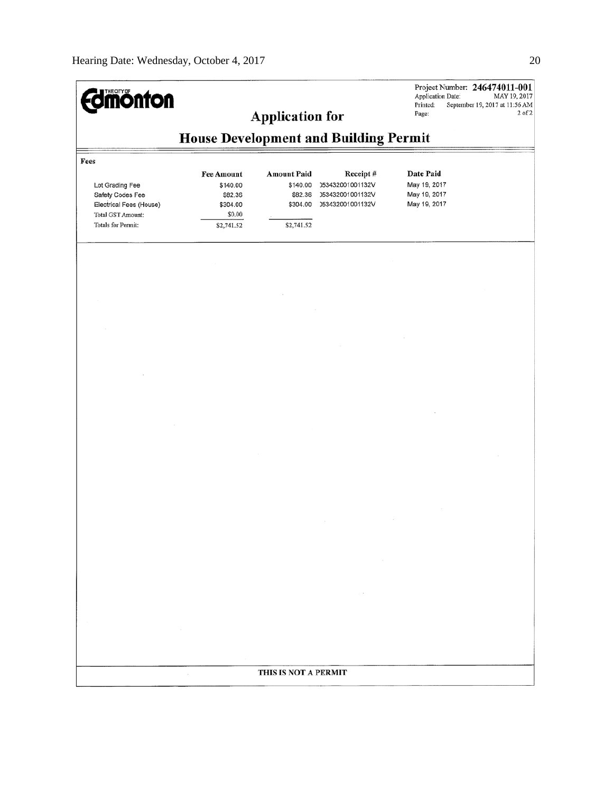| <b>monton</b>                                                                                                     |                                                                              | <b>Application for</b>                                              |                                                                      | Application Date:<br>Printed:<br>Page:                    | Project Number: 246474011-001<br>MAY 19, 2017<br>September 19, 2017 at 11:56 AM<br>$2$ of $2$ |  |  |  |
|-------------------------------------------------------------------------------------------------------------------|------------------------------------------------------------------------------|---------------------------------------------------------------------|----------------------------------------------------------------------|-----------------------------------------------------------|-----------------------------------------------------------------------------------------------|--|--|--|
|                                                                                                                   | <b>House Development and Building Permit</b>                                 |                                                                     |                                                                      |                                                           |                                                                                               |  |  |  |
| Fees<br>Lot Grading Fee<br>Safety Codes Fee<br>Electrical Fees (House)<br>Total GST Amount:<br>Totals for Permit: | <b>Fee Amount</b><br>\$140.00<br>\$82.36<br>\$304.00<br>\$0.00<br>\$2,741.52 | <b>Amount Paid</b><br>\$140.00<br>\$82.36<br>\$304.00<br>\$2,741.52 | Receipt#<br>053432001001132V<br>053432001001132V<br>053432001001132V | Date Paid<br>May 19, 2017<br>May 19, 2017<br>May 19, 2017 |                                                                                               |  |  |  |
|                                                                                                                   |                                                                              |                                                                     |                                                                      |                                                           |                                                                                               |  |  |  |
|                                                                                                                   |                                                                              |                                                                     |                                                                      |                                                           |                                                                                               |  |  |  |
|                                                                                                                   |                                                                              |                                                                     |                                                                      |                                                           |                                                                                               |  |  |  |
|                                                                                                                   |                                                                              | THIS IS NOT A PERMIT                                                |                                                                      |                                                           |                                                                                               |  |  |  |